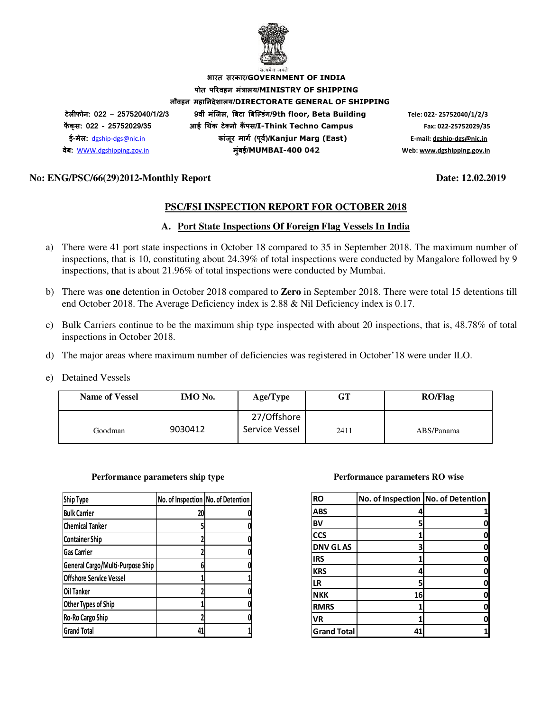

**भारत सरकार/GOVERNMENT OF INDIA पोत परवहन मंालय/MINISTRY OF SHIPPING नौवहन महानदेशालय/DIRECTORATE GENERAL OF SHIPPING टेलफोन: 022** – **25752040/1/2/3 9वीं मंिजल, )बटा )बि+डंग/9th floor, Beta Building Tele: 022- 25752040/1/2/3 फै क् स: 022 - 25752029/35 आई 3थक टे5 नो क ं 6पस/I-Think Techno Campus Fax: 022-25752029/35 ई-मेल:** dgship-dgs@nic.in **कांजर माग8 (प ू व8)/ ू Kanjur Marg (East) E-mail: dgship-dgs@nic.in वेब:** WWW.dgshipping.gov.in **मुंबई/MUMBAI-400 042 Web: www.dgshipping.gov.in**

## **No: ENG/PSC/66(29)2012-Monthly Report Date: 12.02.2019**

## **PSC/FSI INSPECTION REPORT FOR OCTOBER 2018**

## **A. Port State Inspections Of Foreign Flag Vessels In India**

- a) There were 41 port state inspections in October 18 compared to 35 in September 2018. The maximum number of inspections, that is 10, constituting about 24.39% of total inspections were conducted by Mangalore followed by 9 inspections, that is about 21.96% of total inspections were conducted by Mumbai.
- b) There was **one** detention in October 2018 compared to **Zero** in September 2018. There were total 15 detentions till end October 2018. The Average Deficiency index is 2.88 & Nil Deficiency index is 0.17.
- c) Bulk Carriers continue to be the maximum ship type inspected with about 20 inspections, that is, 48.78% of total inspections in October 2018.
- d) The major areas where maximum number of deficiencies was registered in October'18 were under ILO.
- e) Detained Vessels

| <b>Name of Vessel</b> | <b>IMO</b> No. | Age/Type                      | GT   | <b>RO/Flag</b> |
|-----------------------|----------------|-------------------------------|------|----------------|
| Goodman               | 9030412        | 27/Offshore<br>Service Vessel | 2411 | ABS/Panama     |

#### **Performance parameters ship type Theory Accord Performance parameters RO wise**

| <b>Ship Type</b>                 | No. of Inspection No. of Detention |  |
|----------------------------------|------------------------------------|--|
| <b>Bulk Carrier</b>              | 20                                 |  |
| <b>Chemical Tanker</b>           |                                    |  |
| <b>Container Ship</b>            |                                    |  |
| <b>Gas Carrier</b>               |                                    |  |
| General Cargo/Multi-Purpose Ship |                                    |  |
| <b>Offshore Service Vessel</b>   |                                    |  |
| Oil Tanker                       |                                    |  |
| Other Types of Ship              |                                    |  |
| Ro-Ro Cargo Ship                 |                                    |  |
| <b>Grand Total</b>               | 41                                 |  |

| <b>RO</b>          | No. of Inspection No. of Detention |   |
|--------------------|------------------------------------|---|
| <b>ABS</b>         | 4                                  |   |
| <b>BV</b>          | 5                                  |   |
| <b>CCS</b>         |                                    |   |
| <b>DNV GLAS</b>    | 3                                  |   |
| <b>IRS</b>         |                                    |   |
| <b>KRS</b>         | 4                                  |   |
| LR                 | 5                                  |   |
| <b>NKK</b>         | 16                                 |   |
| <b>RMRS</b>        |                                    | N |
| <b>VR</b>          |                                    |   |
| <b>Grand Total</b> | 41                                 |   |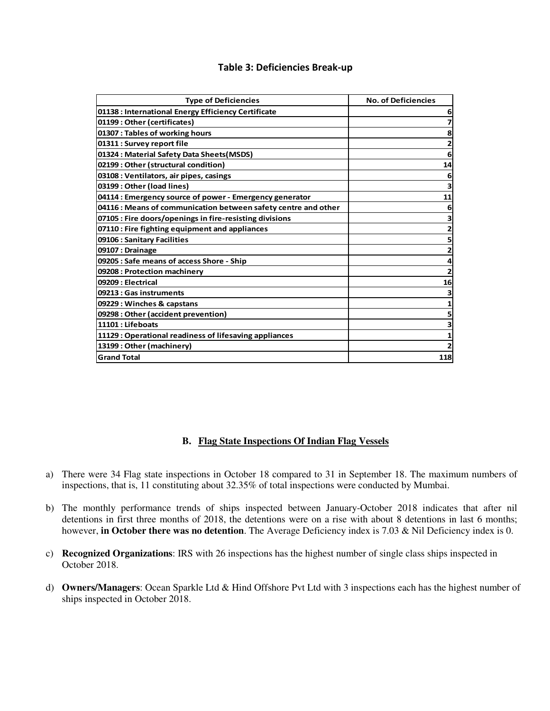## **Table 3: Deficiencies Break-up**

| <b>Type of Deficiencies</b>                                    | <b>No. of Deficiencies</b> |
|----------------------------------------------------------------|----------------------------|
| 01138 : International Energy Efficiency Certificate            | 6                          |
| 01199: Other (certificates)                                    | 7                          |
| 01307 : Tables of working hours                                | 8                          |
| 01311 : Survey report file                                     | 2                          |
| 01324 : Material Safety Data Sheets(MSDS)                      | 6                          |
| 02199 : Other (structural condition)                           | 14                         |
| 03108 : Ventilators, air pipes, casings                        | 6                          |
| 03199: Other (load lines)                                      | з                          |
| 04114 : Emergency source of power - Emergency generator        | 11                         |
| 04116 : Means of communication between safety centre and other | 6                          |
| 07105 : Fire doors/openings in fire-resisting divisions        |                            |
| 07110 : Fire fighting equipment and appliances                 | 2                          |
| 09106 : Sanitary Facilities                                    | 5                          |
| 09107 : Drainage                                               | 2                          |
| 09205 : Safe means of access Shore - Ship                      | 4                          |
| 09208 : Protection machinery                                   | 2                          |
| 09209 : Electrical                                             | 16                         |
| 09213 : Gas instruments                                        | з                          |
| 09229 : Winches & capstans                                     | 1                          |
| 09298 : Other (accident prevention)                            | 5                          |
| 11101 : Lifeboats                                              |                            |
| 11129 : Operational readiness of lifesaving appliances         |                            |
| 13199 : Other (machinery)                                      |                            |
| <b>Grand Total</b>                                             | 118                        |

## **B. Flag State Inspections Of Indian Flag Vessels**

- a) There were 34 Flag state inspections in October 18 compared to 31 in September 18. The maximum numbers of inspections, that is, 11 constituting about 32.35% of total inspections were conducted by Mumbai.
- b) The monthly performance trends of ships inspected between January-October 2018 indicates that after nil detentions in first three months of 2018, the detentions were on a rise with about 8 detentions in last 6 months; however, **in October there was no detention**. The Average Deficiency index is 7.03 & Nil Deficiency index is 0.
- c) **Recognized Organizations**: IRS with 26 inspections has the highest number of single class ships inspected in October 2018.
- d) **Owners/Managers**: Ocean Sparkle Ltd & Hind Offshore Pvt Ltd with 3 inspections each has the highest number of ships inspected in October 2018.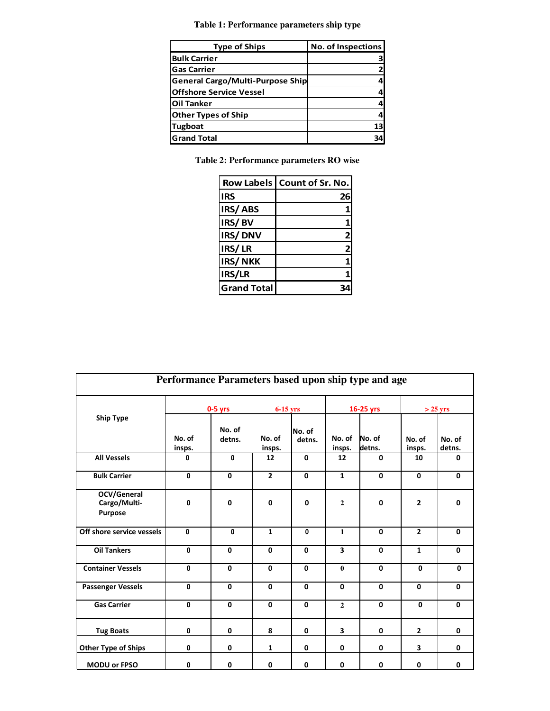**Table 1: Performance parameters ship type**

| <b>Type of Ships</b>                    | No. of Inspections |
|-----------------------------------------|--------------------|
| <b>Bulk Carrier</b>                     |                    |
| <b>Gas Carrier</b>                      |                    |
| <b>General Cargo/Multi-Purpose Ship</b> |                    |
| <b>Offshore Service Vessel</b>          |                    |
| <b>Oil Tanker</b>                       |                    |
| <b>Other Types of Ship</b>              |                    |
| <b>Tugboat</b>                          | 13                 |
| <b>Grand Total</b>                      |                    |

**Table 2: Performance parameters RO wise** 

|                    | Row Labels   Count of Sr. No. |
|--------------------|-------------------------------|
| IRS                | 26                            |
| IRS/ABS            |                               |
| IRS/BV             |                               |
| IRS/DNV            | 2                             |
| IRS/LR             | 2 <sub>i</sub>                |
| <b>IRS/NKK</b>     |                               |
| IRS/LR             |                               |
| <b>Grand Total</b> |                               |

| Performance Parameters based upon ship type and age |                  |                  |                  |                  |                  |                  |                  |                  |
|-----------------------------------------------------|------------------|------------------|------------------|------------------|------------------|------------------|------------------|------------------|
|                                                     | $0-5$ yrs        |                  | $6-15$ yrs       |                  | 16-25 yrs        |                  | $>$ 25 yrs       |                  |
| <b>Ship Type</b>                                    | No. of<br>insps. | No. of<br>detns. | No. of<br>insps. | No. of<br>detns. | No. of<br>insps. | No. of<br>detns. | No. of<br>insps. | No. of<br>detns. |
| <b>All Vessels</b>                                  | 0                | $\mathbf{0}$     | 12               | $\mathbf{0}$     | 12               | $\mathbf{0}$     | 10               | 0                |
| <b>Bulk Carrier</b>                                 | 0                | 0                | $\overline{2}$   | $\mathbf 0$      | $\mathbf{1}$     | 0                | $\mathbf 0$      | $\mathbf 0$      |
| OCV/General<br>Cargo/Multi-<br><b>Purpose</b>       | $\mathbf{0}$     | $\mathbf{0}$     | 0                | $\mathbf{0}$     | $\mathbf{2}$     | $\mathbf{0}$     | $\overline{2}$   | 0                |
| Off shore service vessels                           | $\mathbf{0}$     | $\mathbf{0}$     | $\mathbf{1}$     | 0                | $\mathbf{1}$     | $\mathbf{0}$     | $\overline{2}$   | $\mathbf{0}$     |
| <b>Oil Tankers</b>                                  | $\mathbf{0}$     | 0                | 0                | $\mathbf 0$      | 3                | $\mathbf{0}$     | $\mathbf{1}$     | 0                |
| <b>Container Vessels</b>                            | 0                | 0                | 0                | $\mathbf{0}$     | $\mathbf{0}$     | $\mathbf{0}$     | $\mathbf{0}$     | 0                |
| <b>Passenger Vessels</b>                            | $\mathbf{0}$     | $\mathbf{0}$     | $\mathbf 0$      | $\mathbf 0$      | $\mathbf{0}$     | $\mathbf{0}$     | $\mathbf{0}$     | $\mathbf 0$      |
| <b>Gas Carrier</b>                                  | 0                | $\mathbf{0}$     | 0                | 0                | $\mathbf{2}$     | $\mathbf{0}$     | $\mathbf{0}$     | $\mathbf 0$      |
| <b>Tug Boats</b>                                    | 0                | 0                | 8                | 0                | 3                | 0                | $\overline{2}$   | 0                |
| <b>Other Type of Ships</b>                          | 0                | 0                | $\mathbf{1}$     | 0                | 0                | 0                | 3                | 0                |
| MODU or FPSO                                        | 0                | 0                | 0                | 0                | 0                | 0                | 0                | 0                |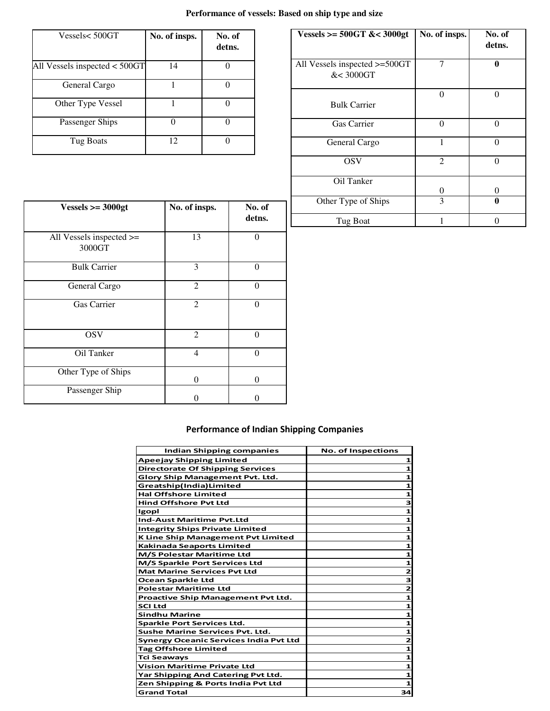# **Performance of vessels: Based on ship type and size**

| Vessels< 500GT                  | No. of insps. | No. of<br>detns. |
|---------------------------------|---------------|------------------|
| All Vessels inspected $<$ 500GT | 14            |                  |
| General Cargo                   |               |                  |
| Other Type Vessel               |               |                  |
| Passenger Ships                 |               |                  |
| Tug Boats                       | 12            |                  |

| Vessels >= $500GT$ &< $3000gt$             | No. of insps.  | No. of<br>detns. |
|--------------------------------------------|----------------|------------------|
| All Vessels inspected >=500GT<br>&< 3000GT | 7              | 0                |
| <b>Bulk Carrier</b>                        | 0              | 0                |
| Gas Carrier                                | $\Omega$       |                  |
| General Cargo                              | 1              | 0                |
| <b>OSV</b>                                 | $\overline{2}$ |                  |
| Oil Tanker                                 | 0              | 0                |
| Other Type of Ships                        | 3              | 0                |
| Tug Boat                                   |                |                  |

| Vessels $>=$ 3000gt                     | No. of insps.  | No. of<br>detns. |
|-----------------------------------------|----------------|------------------|
| All Vessels inspected $\ge$ =<br>3000GT | 13             | $\theta$         |
| <b>Bulk Carrier</b>                     | 3              | $\theta$         |
| General Cargo                           | $\overline{2}$ | $\theta$         |
| Gas Carrier                             | $\overline{2}$ | $\theta$         |
| <b>OSV</b>                              | $\overline{2}$ | $\theta$         |
| Oil Tanker                              | 4              | $\Omega$         |
| Other Type of Ships                     | $\theta$       | $\theta$         |
| Passenger Ship                          |                | 0                |

# **Performance of Indian Shipping Companies**

| Indian Shipping companies                     | <b>No. of Inspections</b> |
|-----------------------------------------------|---------------------------|
| Apeejay Shipping Limited                      | 1                         |
| <b>Directorate Of Shipping Services</b>       | 1                         |
| <b>Glory Ship Management Pvt. Ltd.</b>        | 1                         |
| Greatship(India)Limited                       | 1                         |
| <b>Hal Offshore Limited</b>                   | 1                         |
| <b>Hind Offshore Pyt Ltd</b>                  | 3                         |
| Igopl                                         | 1                         |
| <b>Ind-Aust Maritime Pyt.Ltd</b>              | 1                         |
| <b>Integrity Ships Private Limited</b>        | 1                         |
| K Line Ship Management Pvt Limited            | 1                         |
| Kakinada Seaports Limited                     | 1                         |
| M/S Polestar Maritime Ltd                     | 1                         |
| M/S Sparkle Port Services Ltd                 | 1                         |
| <b>Mat Marine Services Pvt Ltd</b>            | 2                         |
| Ocean Sparkle Ltd                             | 3                         |
| <b>Polestar Maritime Ltd</b>                  | $\overline{2}$            |
| <b>Proactive Ship Management Pvt Ltd.</b>     | 1                         |
| SCI Ltd                                       | 1                         |
| <b>Sindhu Marine</b>                          | 1                         |
| Sparkle Port Services Ltd.                    | 1                         |
| <b>Sushe Marine Services Pyt. Ltd.</b>        | 1                         |
| <b>Synergy Oceanic Services India Pvt Ltd</b> | 2                         |
| <b>Tag Offshore Limited</b>                   | 1                         |
| Tci Seaways                                   | 1                         |
| <b>Vision Maritime Private Ltd</b>            | 1                         |
| Yar Shipping And Catering Pvt Ltd.            |                           |
| Zen Shipping & Ports India Pvt Ltd            |                           |
| <b>Grand Total</b>                            | 34                        |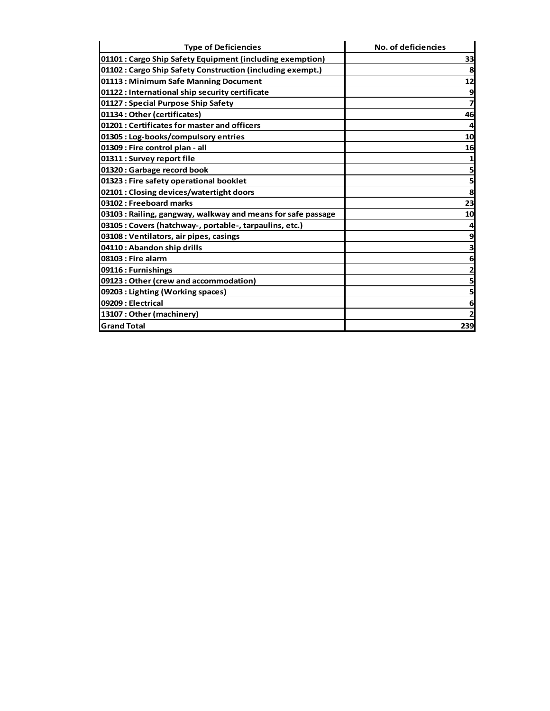| <b>Type of Deficiencies</b>                                  | No. of deficiencies |
|--------------------------------------------------------------|---------------------|
| 01101 : Cargo Ship Safety Equipment (including exemption)    | 33                  |
| 01102 : Cargo Ship Safety Construction (including exempt.)   | 8                   |
| 01113: Minimum Safe Manning Document                         | 12                  |
| 01122 : International ship security certificate              | 9                   |
| 01127 : Special Purpose Ship Safety                          | 7                   |
| 01134: Other (certificates)                                  | 46                  |
| 01201 : Certificates for master and officers                 |                     |
| 01305 : Log-books/compulsory entries                         | 10                  |
| 01309 : Fire control plan - all                              | 16                  |
| 01311 : Survey report file                                   |                     |
| 01320: Garbage record book                                   | 5                   |
| 01323 : Fire safety operational booklet                      | 5                   |
| 02101 : Closing devices/watertight doors                     | 8                   |
| 03102 : Freeboard marks                                      | 23                  |
| 03103 : Railing, gangway, walkway and means for safe passage | 10                  |
| 03105 : Covers (hatchway-, portable-, tarpaulins, etc.)      |                     |
| 03108 : Ventilators, air pipes, casings                      | 9                   |
| 04110: Abandon ship drills                                   |                     |
| 08103 : Fire alarm                                           | 6                   |
| 09116: Furnishings                                           |                     |
| 09123: Other (crew and accommodation)                        | 5                   |
| 09203 : Lighting (Working spaces)                            | 5                   |
| 09209 : Electrical                                           | 6                   |
| 13107: Other (machinery)                                     |                     |
| <b>Grand Total</b>                                           | 239                 |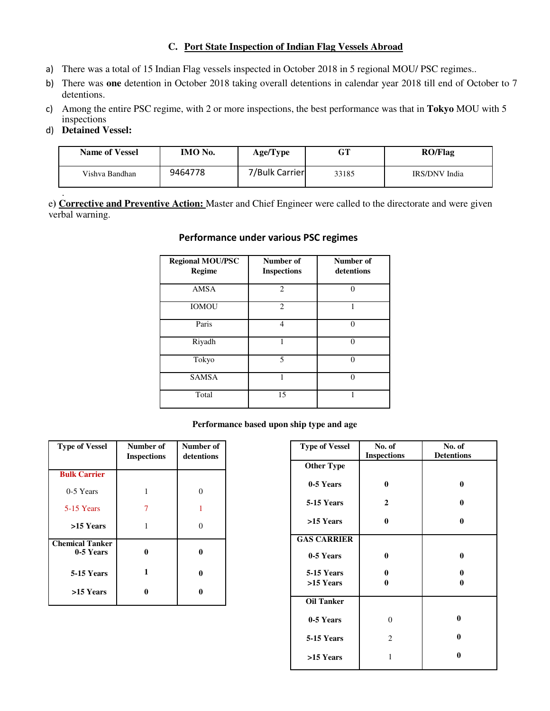## **C. Port State Inspection of Indian Flag Vessels Abroad**

- a) There was a total of 15 Indian Flag vessels inspected in October 2018 in 5 regional MOU/ PSC regimes..
- b) There was **one** detention in October 2018 taking overall detentions in calendar year 2018 till end of October to 7 detentions.
- c) Among the entire PSC regime, with 2 or more inspections, the best performance was that in **Tokyo** MOU with 5 inspections
- d) **Detained Vessel:**

| <b>Name of Vessel</b> | IMO No. | Age/Type       | GT    | <b>RO/Flag</b> |
|-----------------------|---------|----------------|-------|----------------|
| Vishva Bandhan        | 9464778 | 7/Bulk Carrier | 33185 | IRS/DNV India  |

. e**) Corrective and Preventive Action:** Master and Chief Engineer were called to the directorate and were given verbal warning.

## **Performance under various PSC regimes**

| <b>Regional MOU/PSC</b><br><b>Regime</b> | Number of<br><b>Inspections</b> | Number of<br>detentions |
|------------------------------------------|---------------------------------|-------------------------|
| <b>AMSA</b>                              | $\overline{c}$                  | $\Omega$                |
| <b>IOMOU</b>                             | $\mathfrak{D}$                  |                         |
| Paris                                    | 4                               | $\Omega$                |
| Riyadh                                   |                                 | $\Omega$                |
| Tokyo                                    | $\overline{\phantom{0}}$        | $\Omega$                |
| <b>SAMSA</b>                             |                                 | 0                       |
| Total                                    | 15                              | 1                       |

### **Performance based upon ship type and age**

| <b>Type of Vessel</b>               | Number of<br><b>Inspections</b> | Number of<br>detentions |
|-------------------------------------|---------------------------------|-------------------------|
| <b>Bulk Carrier</b>                 |                                 |                         |
| 0-5 Years                           |                                 | 0                       |
| 5-15 Years                          | 7                               |                         |
| >15 Years                           | 1                               | 0                       |
| <b>Chemical Tanker</b><br>0-5 Years | 0                               | 0                       |
| 5-15 Years                          | 1                               | 0                       |
| >15 Years                           |                                 | 0                       |

| <b>Type of Vessel</b> | No. of             | No. of            |
|-----------------------|--------------------|-------------------|
|                       | <b>Inspections</b> | <b>Detentions</b> |
| <b>Other Type</b>     |                    |                   |
|                       |                    |                   |
| 0-5 Years             | $\bf{0}$           | $\bf{0}$          |
|                       |                    |                   |
| 5-15 Years            | $\overline{2}$     | $\bf{0}$          |
|                       |                    |                   |
| >15 Years             | $\bf{0}$           | 0                 |
| <b>GAS CARRIER</b>    |                    |                   |
|                       |                    |                   |
| 0-5 Years             | 0                  | 0                 |
|                       |                    |                   |
| 5-15 Years            | 0                  | 0                 |
| >15 Years             | 0                  | 0                 |
|                       |                    |                   |
| <b>Oil Tanker</b>     |                    |                   |
|                       |                    |                   |
| 0-5 Years             | $\theta$           | 0                 |
|                       |                    | $\bf{0}$          |
| 5-15 Years            | 2                  |                   |
| >15 Years             | 1                  | 0                 |
|                       |                    |                   |
|                       |                    |                   |